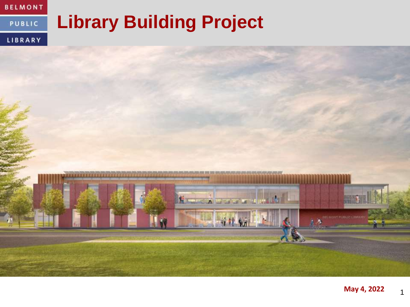

#### **Library Building Project PUBLIC**

LIBRARY

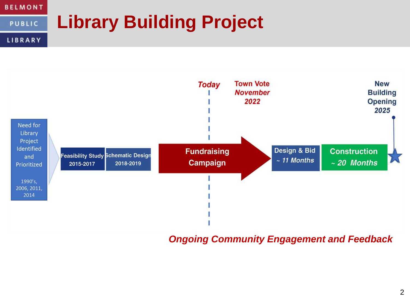#### **BELMONT Library Building ProjectPUBLIC** LIBRARY



*Ongoing Community Engagement and Feedback*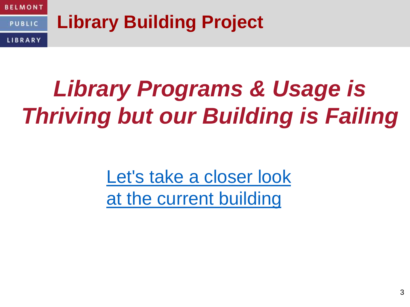

# *Library Programs & Usage is Thriving but our Building is Failing*

Let's take a closer look [at the current building](https://www.youtube.com/watch?v=mB1UKswJFUk&t=267s)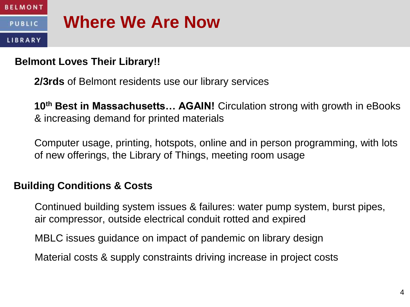

#### **PUBLIC**

LIBRARY

### **Where We Are Now**

#### **Belmont Loves Their Library!!**

**2/3rds** of Belmont residents use our library services

**10th Best in Massachusetts… AGAIN!** Circulation strong with growth in eBooks & increasing demand for printed materials

Computer usage, printing, hotspots, online and in person programming, with lots of new offerings, the Library of Things, meeting room usage

### **Building Conditions & Costs**

Continued building system issues & failures: water pump system, burst pipes, air compressor, outside electrical conduit rotted and expired

MBLC issues guidance on impact of pandemic on library design

Material costs & supply constraints driving increase in project costs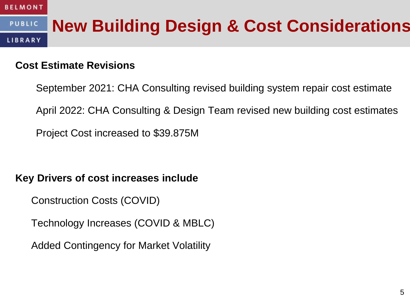#### **New Building Design & Cost Considerations PUBLIC** LIBRARY

#### **Cost Estimate Revisions**

September 2021: CHA Consulting revised building system repair cost estimate April 2022: CHA Consulting & Design Team revised new building cost estimates Project Cost increased to \$39.875M

#### **Key Drivers of cost increases include**

Construction Costs (COVID)

Technology Increases (COVID & MBLC)

Added Contingency for Market Volatility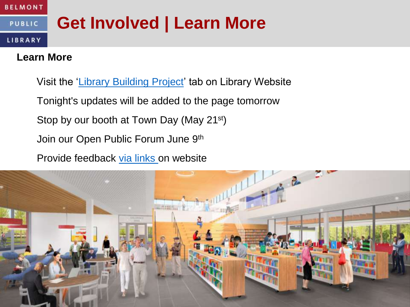#### **Get Involved | Learn More PUBLIC**

#### LIBRARY

#### **Learn More**

Visit the '[Library Building Project'](https://belmontpubliclibrary.net/about/building-committee/) tab on Library Website Tonight's updates will be added to the page tomorrow Stop by our booth at Town Day (May 21<sup>st</sup>) Join our Open Public Forum June 9th

Provide feedback [via links o](https://belmontpubliclibrary.net/contact/)n website